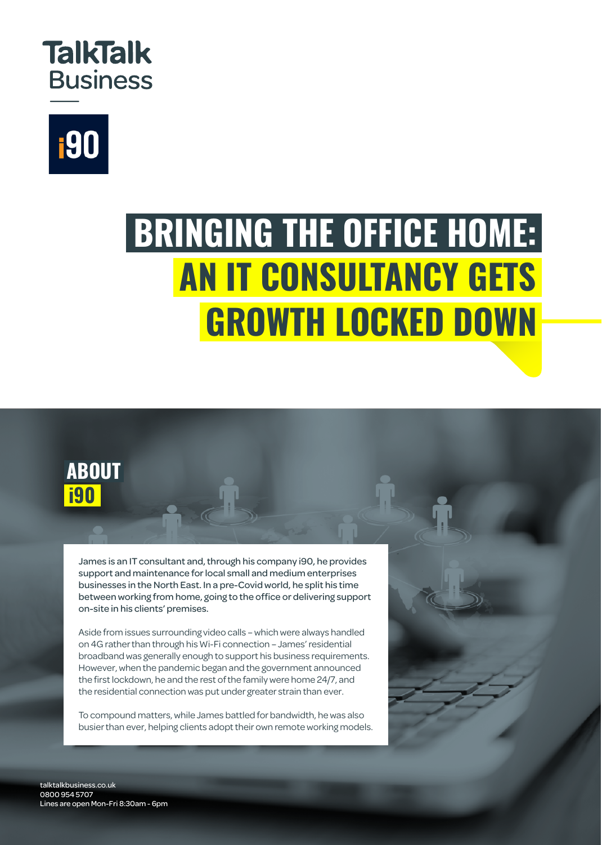



## **BRINGING THE OFFICE HOME: AN IT CONSULTANCY GETS GROWTH LOCKED DOWN**



James is an IT consultant and, through his company i90, he provides support and maintenance for local small and medium enterprises businesses in the North East. In a pre-Covid world, he split his time between working from home, going to the office or delivering support on-site in his clients' premises.

Aside from issues surrounding video calls – which were always handled on 4G rather than through his Wi-Fi connection – James' residential broadband was generally enough to support his business requirements. However, when the pandemic began and the government announced the first lockdown, he and the rest of the family were home 24/7, and the residential connection was put under greater strain than ever.

To compound matters, while James battled for bandwidth, he was also busier than ever, helping clients adopt their own remote working models.

talktalkbusiness.co.uk 0800 954 5707 Lines are open Mon-Fri 8:30am - 6pm